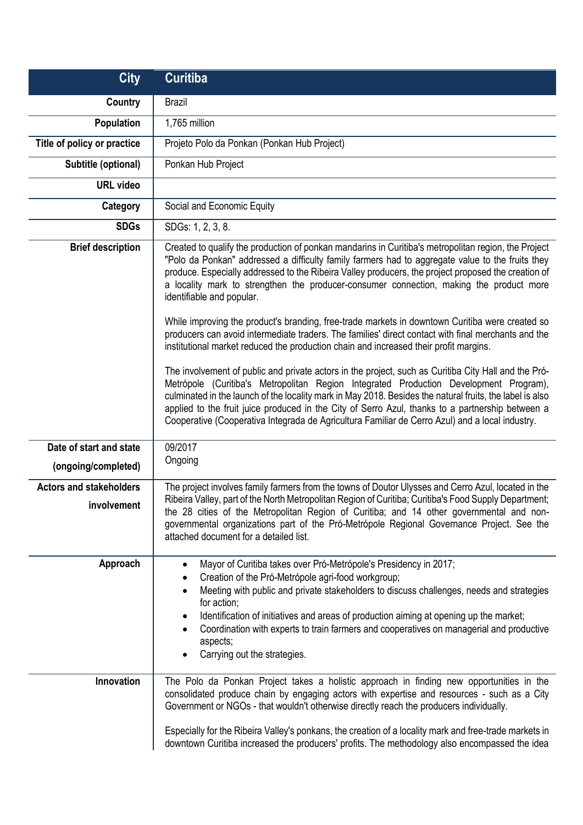| <b>City</b>                                    | <b>Curitiba</b>                                                                                                                                                                                                                                                                                                                                                                                                                                                                                                                                                                                                                                                                                                                                                                                                                                                                                                                                                                                                                                                                                                                                                                                                                                                |
|------------------------------------------------|----------------------------------------------------------------------------------------------------------------------------------------------------------------------------------------------------------------------------------------------------------------------------------------------------------------------------------------------------------------------------------------------------------------------------------------------------------------------------------------------------------------------------------------------------------------------------------------------------------------------------------------------------------------------------------------------------------------------------------------------------------------------------------------------------------------------------------------------------------------------------------------------------------------------------------------------------------------------------------------------------------------------------------------------------------------------------------------------------------------------------------------------------------------------------------------------------------------------------------------------------------------|
| Country                                        | <b>Brazil</b>                                                                                                                                                                                                                                                                                                                                                                                                                                                                                                                                                                                                                                                                                                                                                                                                                                                                                                                                                                                                                                                                                                                                                                                                                                                  |
| <b>Population</b>                              | 1,765 million                                                                                                                                                                                                                                                                                                                                                                                                                                                                                                                                                                                                                                                                                                                                                                                                                                                                                                                                                                                                                                                                                                                                                                                                                                                  |
| Title of policy or practice                    | Projeto Polo da Ponkan (Ponkan Hub Project)                                                                                                                                                                                                                                                                                                                                                                                                                                                                                                                                                                                                                                                                                                                                                                                                                                                                                                                                                                                                                                                                                                                                                                                                                    |
| Subtitle (optional)                            | Ponkan Hub Project                                                                                                                                                                                                                                                                                                                                                                                                                                                                                                                                                                                                                                                                                                                                                                                                                                                                                                                                                                                                                                                                                                                                                                                                                                             |
| <b>URL</b> video                               |                                                                                                                                                                                                                                                                                                                                                                                                                                                                                                                                                                                                                                                                                                                                                                                                                                                                                                                                                                                                                                                                                                                                                                                                                                                                |
| Category                                       | Social and Economic Equity                                                                                                                                                                                                                                                                                                                                                                                                                                                                                                                                                                                                                                                                                                                                                                                                                                                                                                                                                                                                                                                                                                                                                                                                                                     |
| <b>SDGs</b>                                    | SDGs: 1, 2, 3, 8.                                                                                                                                                                                                                                                                                                                                                                                                                                                                                                                                                                                                                                                                                                                                                                                                                                                                                                                                                                                                                                                                                                                                                                                                                                              |
| <b>Brief description</b>                       | Created to qualify the production of ponkan mandarins in Curitiba's metropolitan region, the Project<br>"Polo da Ponkan" addressed a difficulty family farmers had to aggregate value to the fruits they<br>produce. Especially addressed to the Ribeira Valley producers, the project proposed the creation of<br>a locality mark to strengthen the producer-consumer connection, making the product more<br>identifiable and popular.<br>While improving the product's branding, free-trade markets in downtown Curitiba were created so<br>producers can avoid intermediate traders. The families' direct contact with final merchants and the<br>institutional market reduced the production chain and increased their profit margins.<br>The involvement of public and private actors in the project, such as Curitiba City Hall and the Pró-<br>Metrópole (Curitiba's Metropolitan Region Integrated Production Development Program),<br>culminated in the launch of the locality mark in May 2018. Besides the natural fruits, the label is also<br>applied to the fruit juice produced in the City of Serro Azul, thanks to a partnership between a<br>Cooperative (Cooperativa Integrada de Agricultura Familiar de Cerro Azul) and a local industry. |
| Date of start and state<br>(ongoing/completed) | 09/2017<br>Ongoing                                                                                                                                                                                                                                                                                                                                                                                                                                                                                                                                                                                                                                                                                                                                                                                                                                                                                                                                                                                                                                                                                                                                                                                                                                             |
| <b>Actors and stakeholders</b><br>involvement  | The project involves family farmers from the towns of Doutor Ulysses and Cerro Azul, located in the<br>Ribeira Valley, part of the North Metropolitan Region of Curitiba; Curitiba's Food Supply Department;<br>the 28 cities of the Metropolitan Region of Curitiba; and 14 other governmental and non-<br>governmental organizations part of the Pró-Metrópole Regional Governance Project. See the<br>attached document for a detailed list.                                                                                                                                                                                                                                                                                                                                                                                                                                                                                                                                                                                                                                                                                                                                                                                                                |
| Approach<br>Innovation                         | Mayor of Curitiba takes over Pró-Metrópole's Presidency in 2017;<br>٠<br>Creation of the Pró-Metrópole agri-food workgroup;<br>Meeting with public and private stakeholders to discuss challenges, needs and strategies<br>for action;<br>Identification of initiatives and areas of production aiming at opening up the market;<br>Coordination with experts to train farmers and cooperatives on managerial and productive<br>aspects;<br>Carrying out the strategies.<br>The Polo da Ponkan Project takes a holistic approach in finding new opportunities in the<br>consolidated produce chain by engaging actors with expertise and resources - such as a City<br>Government or NGOs - that wouldn't otherwise directly reach the producers individually.<br>Especially for the Ribeira Valley's ponkans, the creation of a locality mark and free-trade markets in<br>downtown Curitiba increased the producers' profits. The methodology also encompassed the idea                                                                                                                                                                                                                                                                                      |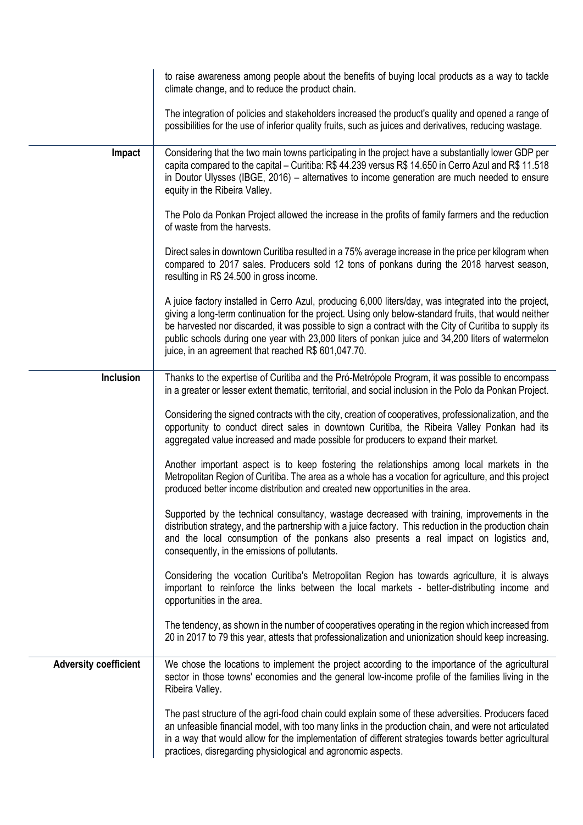|                              | to raise awareness among people about the benefits of buying local products as a way to tackle<br>climate change, and to reduce the product chain.                                                                                                                                                                                                                                                                                                                                   |
|------------------------------|--------------------------------------------------------------------------------------------------------------------------------------------------------------------------------------------------------------------------------------------------------------------------------------------------------------------------------------------------------------------------------------------------------------------------------------------------------------------------------------|
|                              | The integration of policies and stakeholders increased the product's quality and opened a range of<br>possibilities for the use of inferior quality fruits, such as juices and derivatives, reducing wastage.                                                                                                                                                                                                                                                                        |
| Impact                       | Considering that the two main towns participating in the project have a substantially lower GDP per<br>capita compared to the capital - Curitiba: R\$ 44.239 versus R\$ 14.650 in Cerro Azul and R\$ 11.518<br>in Doutor Ulysses (IBGE, 2016) – alternatives to income generation are much needed to ensure<br>equity in the Ribeira Valley.                                                                                                                                         |
|                              | The Polo da Ponkan Project allowed the increase in the profits of family farmers and the reduction<br>of waste from the harvests.                                                                                                                                                                                                                                                                                                                                                    |
|                              | Direct sales in downtown Curitiba resulted in a 75% average increase in the price per kilogram when<br>compared to 2017 sales. Producers sold 12 tons of ponkans during the 2018 harvest season,<br>resulting in R\$ 24.500 in gross income.                                                                                                                                                                                                                                         |
|                              | A juice factory installed in Cerro Azul, producing 6,000 liters/day, was integrated into the project,<br>giving a long-term continuation for the project. Using only below-standard fruits, that would neither<br>be harvested nor discarded, it was possible to sign a contract with the City of Curitiba to supply its<br>public schools during one year with 23,000 liters of ponkan juice and 34,200 liters of watermelon<br>juice, in an agreement that reached R\$ 601,047.70. |
| Inclusion                    | Thanks to the expertise of Curitiba and the Pró-Metrópole Program, it was possible to encompass<br>in a greater or lesser extent thematic, territorial, and social inclusion in the Polo da Ponkan Project.                                                                                                                                                                                                                                                                          |
|                              | Considering the signed contracts with the city, creation of cooperatives, professionalization, and the<br>opportunity to conduct direct sales in downtown Curitiba, the Ribeira Valley Ponkan had its<br>aggregated value increased and made possible for producers to expand their market.                                                                                                                                                                                          |
|                              | Another important aspect is to keep fostering the relationships among local markets in the<br>Metropolitan Region of Curitiba. The area as a whole has a vocation for agriculture, and this project<br>produced better income distribution and created new opportunities in the area.                                                                                                                                                                                                |
|                              | Supported by the technical consultancy, wastage decreased with training, improvements in the<br>distribution strategy, and the partnership with a juice factory. This reduction in the production chain<br>and the local consumption of the ponkans also presents a real impact on logistics and,<br>consequently, in the emissions of pollutants.                                                                                                                                   |
|                              | Considering the vocation Curitiba's Metropolitan Region has towards agriculture, it is always<br>important to reinforce the links between the local markets - better-distributing income and<br>opportunities in the area.                                                                                                                                                                                                                                                           |
|                              | The tendency, as shown in the number of cooperatives operating in the region which increased from<br>20 in 2017 to 79 this year, attests that professionalization and unionization should keep increasing.                                                                                                                                                                                                                                                                           |
| <b>Adversity coefficient</b> | We chose the locations to implement the project according to the importance of the agricultural<br>sector in those towns' economies and the general low-income profile of the families living in the<br>Ribeira Valley.                                                                                                                                                                                                                                                              |
|                              | The past structure of the agri-food chain could explain some of these adversities. Producers faced<br>an unfeasible financial model, with too many links in the production chain, and were not articulated<br>in a way that would allow for the implementation of different strategies towards better agricultural<br>practices, disregarding physiological and agronomic aspects.                                                                                                   |